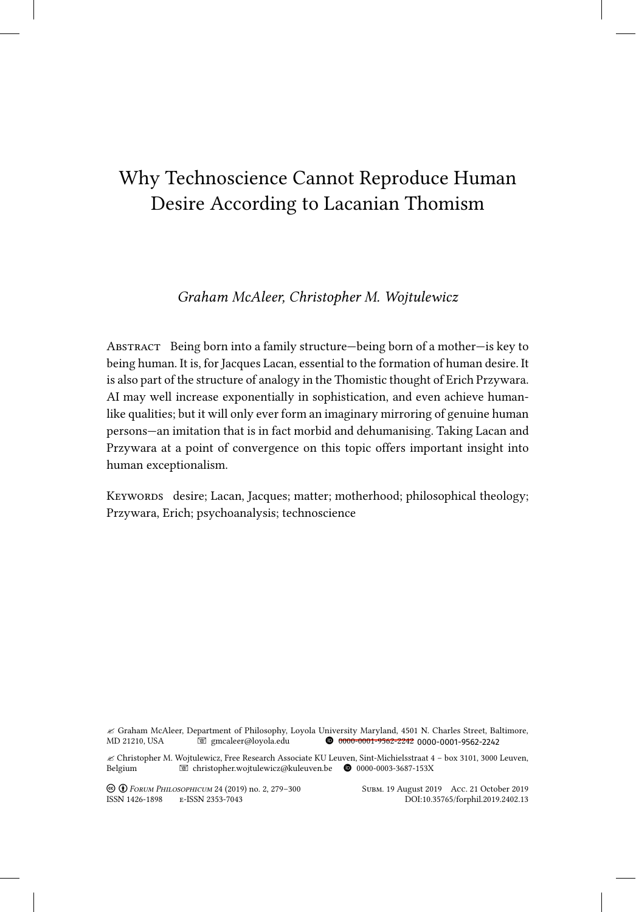# Why Technoscience Cannot Reproduce Human Desire According to Lacanian Thomism

# *Graham McAleer, Christopher M. Wojtulewicz*

ABSTRACT Being born into a family structure—being born of a mother—is key to being human. It is, for Jacques Lacan, essential to the formation of human desire. It is also part of the structure of analogy in the Thomistic thought of Erich Przywara. AI may well increase exponentially in sophistication, and even achieve humanlike qualities; but it will only ever form an imaginary mirroring of genuine human persons—an imitation that is in fact morbid and dehumanising. Taking Lacan and Przywara at a point of convergence on this topic offers important insight into human exceptionalism.

KEYWORDS desire; Lacan, Jacques; matter; motherhood; philosophical theology; Przywara, Erich; psychoanalysis; technoscience

" Graham McAleer, Department of Philosophy, Loyola University Maryland, 4501 N. Charles Street, Baltimore, MD 21210, USA gmcaleer@loyola.edu B 0000-0001-9562-2242  $0$  0000-0001-9562-2242 0000-0001-9562-2242

" Christopher M. Wojtulewicz, Free Research Associate KU Leuven, Sint-Michielsstraat 4 – box 3101, 3000 Leuven, Belgium 
Belgium 
Belgium

Belgium

Belgium

Belgium

Belgium

Belgium

Belgium

Belgium

Belgium

Belgium

Belgium

Belgium

Belgium

Belgium

Belgium

Belgium

Belgium

Belgium

Belgium

Belgium

Belgium

Belgium

Belgiu

! " *Forum Philosophicum* 24 (2019) no. 2, 279–300 Subm. 19 August 2019 Acc. 21 October 2019 ISSN 1426-1898 E-ISSN 2353-7043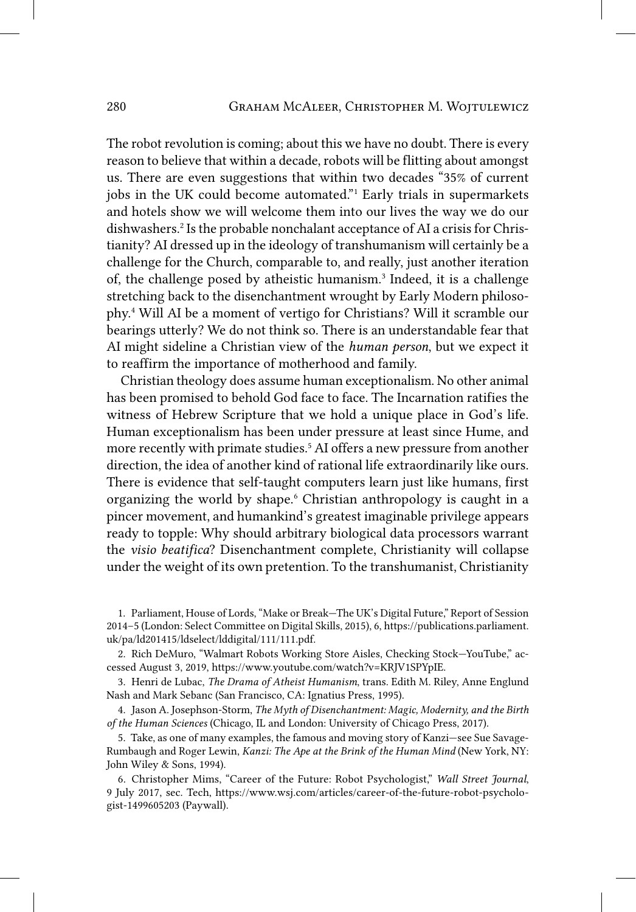The robot revolution is coming; about this we have no doubt. There is every reason to believe that within a decade, robots will be flitting about amongst us. There are even suggestions that within two decades "35% of current jobs in the UK could become automated."1 Early trials in supermarkets and hotels show we will welcome them into our lives the way we do our dishwashers.2 Is the probable nonchalant acceptance of AI a crisis for Christianity? AI dressed up in the ideology of transhumanism will certainly be a challenge for the Church, comparable to, and really, just another iteration of, the challenge posed by atheistic humanism.<sup>3</sup> Indeed, it is a challenge stretching back to the disenchantment wrought by Early Modern philosophy.4 Will AI be a moment of vertigo for Christians? Will it scramble our bearings utterly? We do not think so. There is an understandable fear that AI might sideline a Christian view of the *human person*, but we expect it to reaffirm the importance of motherhood and family.

Christian theology does assume human exceptionalism. No other animal has been promised to behold God face to face. The Incarnation ratifies the witness of Hebrew Scripture that we hold a unique place in God's life. Human exceptionalism has been under pressure at least since Hume, and more recently with primate studies.5 AI offers a new pressure from another direction, the idea of another kind of rational life extraordinarily like ours. There is evidence that self-taught computers learn just like humans, first organizing the world by shape.<sup>6</sup> Christian anthropology is caught in a pincer movement, and humankind's greatest imaginable privilege appears ready to topple: Why should arbitrary biological data processors warrant the *visio beatifica*? Disenchantment complete, Christianity will collapse under the weight of its own pretention. To the transhumanist, Christianity

<sup>1.</sup> Parliament, House of Lords, "Make or Break—The UK's Digital Future," Report of Session 2014–5 (London: Select Committee on Digital Skills, 2015), 6, https://publications.parliament. uk/pa/ld201415/ldselect/lddigital/111/111.pdf.

<sup>2.</sup> Rich DeMuro, "Walmart Robots Working Store Aisles, Checking Stock—YouTube," accessed August 3, 2019, https://www.youtube.com/watch?v=KRJV1SPYpIE.

<sup>3.</sup> Henri de Lubac, *The Drama of Atheist Humanism*, trans. Edith M. Riley, Anne Englund Nash and Mark Sebanc (San Francisco, CA: Ignatius Press, 1995).

<sup>4.</sup> Jason A. Josephson-Storm, *The Myth of Disenchantment: Magic, Modernity, and the Birth of the Human Sciences* (Chicago, IL and London: University of Chicago Press, 2017).

<sup>5.</sup> Take, as one of many examples, the famous and moving story of Kanzi—see Sue Savage-Rumbaugh and Roger Lewin, *Kanzi: The Ape at the Brink of the Human Mind* (New York, NY: John Wiley & Sons, 1994).

<sup>6.</sup> Christopher Mims, "Career of the Future: Robot Psychologist," *Wall Street Journal*, 9 July 2017, sec. Tech, https://www.wsj.com/articles/career-of-the-future-robot-psychologist-1499605203 (Paywall).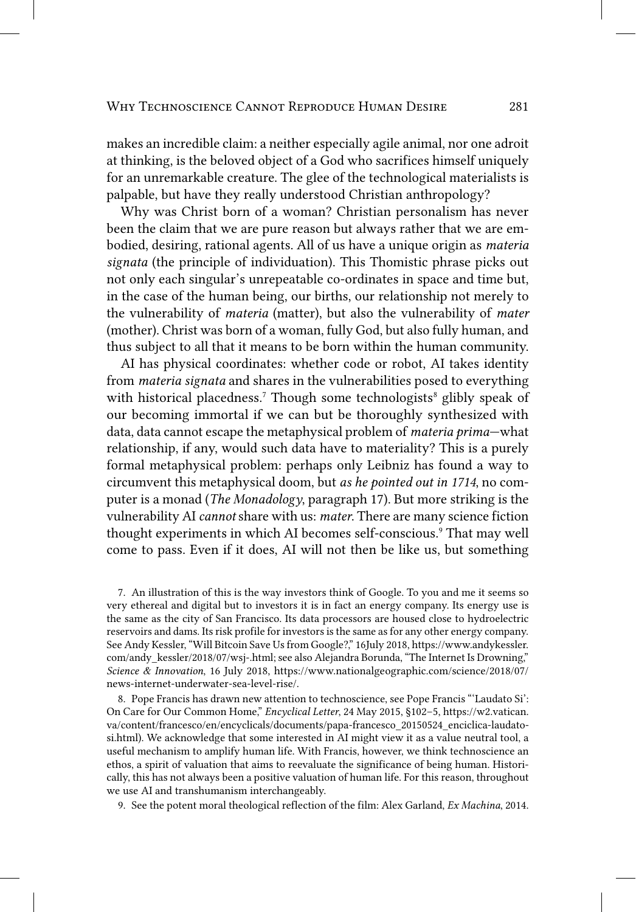makes an incredible claim: a neither especially agile animal, nor one adroit at thinking, is the beloved object of a God who sacrifices himself uniquely for an unremarkable creature. The glee of the technological materialists is palpable, but have they really understood Christian anthropology?

Why was Christ born of a woman? Christian personalism has never been the claim that we are pure reason but always rather that we are embodied, desiring, rational agents. All of us have a unique origin as *materia signata* (the principle of individuation). This Thomistic phrase picks out not only each singular's unrepeatable co-ordinates in space and time but, in the case of the human being, our births, our relationship not merely to the vulnerability of *materia* (matter), but also the vulnerability of *mater* (mother). Christ was born of a woman, fully God, but also fully human, and thus subject to all that it means to be born within the human community.

AI has physical coordinates: whether code or robot, AI takes identity from *materia signata* and shares in the vulnerabilities posed to everything with historical placedness.<sup>7</sup> Though some technologists<sup>8</sup> glibly speak of our becoming immortal if we can but be thoroughly synthesized with data, data cannot escape the metaphysical problem of *materia prima*—what relationship, if any, would such data have to materiality? This is a purely formal metaphysical problem: perhaps only Leibniz has found a way to circumvent this metaphysical doom, but *as he pointed out in 1714*, no computer is a monad (*The Monadology*, paragraph 17). But more striking is the vulnerability AI *cannot* share with us: *mater*. There are many science fiction thought experiments in which AI becomes self-conscious.9 That may well come to pass. Even if it does, AI will not then be like us, but something

7. An illustration of this is the way investors think of Google. To you and me it seems so very ethereal and digital but to investors it is in fact an energy company. Its energy use is the same as the city of San Francisco. Its data processors are housed close to hydroelectric reservoirs and dams. Its risk profile for investors is the same as for any other energy company. See Andy Kessler, "Will Bitcoin Save Us from Google?," 16July 2018, https://www.andykessler. com/andy\_kessler/2018/07/wsj-.html; see also Alejandra Borunda, "The Internet Is Drowning," *Science & Innovation*, 16 July 2018, https://www.nationalgeographic.com/science/2018/07/ news-internet-underwater-sea-level-rise/.

8. Pope Francis has drawn new attention to technoscience, see Pope Francis "'Laudato Si': On Care for Our Common Home," *Encyclical Letter*, 24 May 2015, §102–5, https://w2.vatican. va/content/francesco/en/encyclicals/documents/papa-francesco\_20150524\_enciclica-laudatosi.html). We acknowledge that some interested in AI might view it as a value neutral tool, a useful mechanism to amplify human life. With Francis, however, we think technoscience an ethos, a spirit of valuation that aims to reevaluate the significance of being human. Historically, this has not always been a positive valuation of human life. For this reason, throughout we use AI and transhumanism interchangeably.

9. See the potent moral theological reflection of the film: Alex Garland, *Ex Machina*, 2014.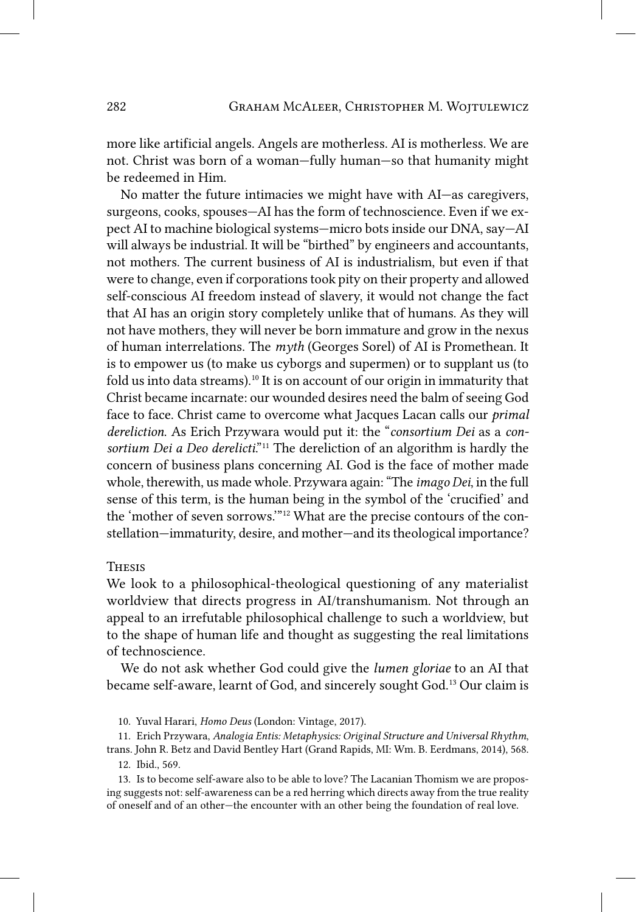more like artificial angels. Angels are motherless. AI is motherless. We are not. Christ was born of a woman—fully human—so that humanity might be redeemed in Him.

No matter the future intimacies we might have with AI—as caregivers, surgeons, cooks, spouses—AI has the form of technoscience. Even if we expect AI to machine biological systems—micro bots inside our DNA, say—AI will always be industrial. It will be "birthed" by engineers and accountants, not mothers. The current business of AI is industrialism, but even if that were to change, even if corporations took pity on their property and allowed self-conscious AI freedom instead of slavery, it would not change the fact that AI has an origin story completely unlike that of humans. As they will not have mothers, they will never be born immature and grow in the nexus of human interrelations. The *myth* (Georges Sorel) of AI is Promethean. It is to empower us (to make us cyborgs and supermen) or to supplant us (to fold us into data streams).<sup>10</sup> It is on account of our origin in immaturity that Christ became incarnate: our wounded desires need the balm of seeing God face to face. Christ came to overcome what Jacques Lacan calls our *primal dereliction*. As Erich Przywara would put it: the "*consortium Dei* as a *consortium Dei a Deo derelicti*."11 The dereliction of an algorithm is hardly the concern of business plans concerning AI. God is the face of mother made whole, therewith, us made whole. Przywara again: "The *imago Dei*, in the full sense of this term, is the human being in the symbol of the 'crucified' and the 'mother of seven sorrows.'"12 What are the precise contours of the constellation—immaturity, desire, and mother—and its theological importance?

## **THESIS**

We look to a philosophical-theological questioning of any materialist worldview that directs progress in AI/transhumanism. Not through an appeal to an irrefutable philosophical challenge to such a worldview, but to the shape of human life and thought as suggesting the real limitations of technoscience.

We do not ask whether God could give the *lumen gloriae* to an AI that became self-aware, learnt of God, and sincerely sought God.13 Our claim is

11. Erich Przywara, *Analogia Entis: Metaphysics: Original Structure and Universal Rhythm*,

13. Is to become self-aware also to be able to love? The Lacanian Thomism we are proposing suggests not: self-awareness can be a red herring which directs away from the true reality of oneself and of an other—the encounter with an other being the foundation of real love.

<sup>10.</sup> Yuval Harari, *Homo Deus* (London: Vintage, 2017).

trans. John R. Betz and David Bentley Hart (Grand Rapids, MI: Wm. B. Eerdmans, 2014), 568. 12. Ibid., 569.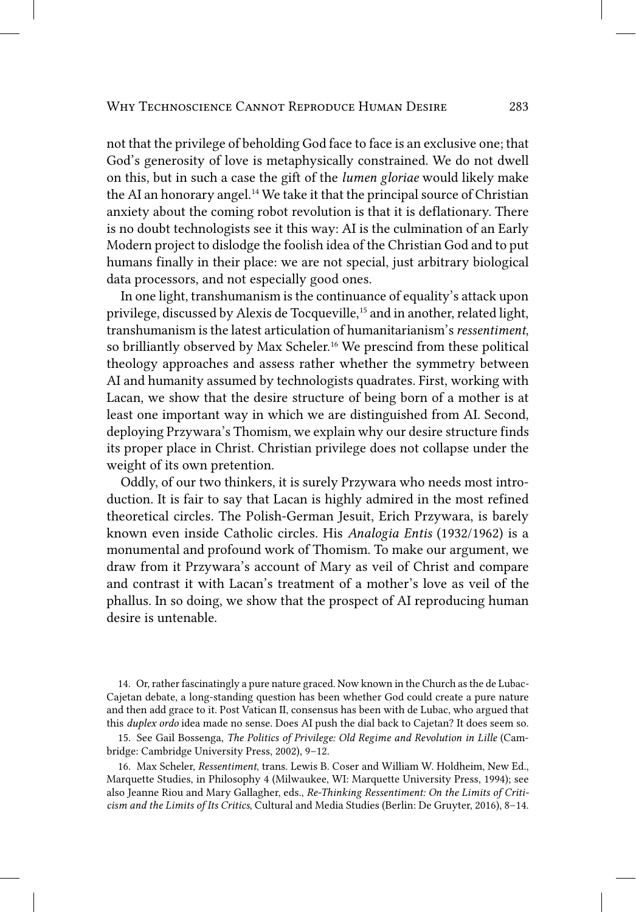not that the privilege of beholding God face to face is an exclusive one; that God's generosity of love is metaphysically constrained. We do not dwell on this, but in such a case the gift of the *lumen gloriae* would likely make the AI an honorary angel.<sup>14</sup> We take it that the principal source of Christian anxiety about the coming robot revolution is that it is deflationary. There is no doubt technologists see it this way: AI is the culmination of an Early Modern project to dislodge the foolish idea of the Christian God and to put humans finally in their place: we are not special, just arbitrary biological data processors, and not especially good ones.

In one light, transhumanism is the continuance of equality's attack upon privilege, discussed by Alexis de Tocqueville,15 and in another, related light, transhumanism is the latest articulation of humanitarianism's *ressentiment*, so brilliantly observed by Max Scheler.<sup>16</sup> We prescind from these political theology approaches and assess rather whether the symmetry between AI and humanity assumed by technologists quadrates. First, working with Lacan, we show that the desire structure of being born of a mother is at least one important way in which we are distinguished from AI. Second, deploying Przywara's Thomism, we explain why our desire structure finds its proper place in Christ. Christian privilege does not collapse under the weight of its own pretention.

Oddly, of our two thinkers, it is surely Przywara who needs most introduction. It is fair to say that Lacan is highly admired in the most refined theoretical circles. The Polish-German Jesuit, Erich Przywara, is barely known even inside Catholic circles. His *Analogia Entis* (1932/1962) is a monumental and profound work of Thomism. To make our argument, we draw from it Przywara's account of Mary as veil of Christ and compare and contrast it with Lacan's treatment of a mother's love as veil of the phallus. In so doing, we show that the prospect of AI reproducing human desire is untenable.

14. Or, rather fascinatingly a pure nature graced. Now known in the Church as the de Lubac-Cajetan debate, a long-standing question has been whether God could create a pure nature and then add grace to it. Post Vatican II, consensus has been with de Lubac, who argued that this *duplex ordo* idea made no sense. Does AI push the dial back to Cajetan? It does seem so.

15. See Gail Bossenga, *The Politics of Privilege: Old Regime and Revolution in Lille* (Cambridge: Cambridge University Press, 2002), 9–12.

16. Max Scheler, *Ressentiment*, trans. Lewis B. Coser and William W. Holdheim, New Ed., Marquette Studies, in Philosophy 4 (Milwaukee, WI: Marquette University Press, 1994); see also Jeanne Riou and Mary Gallagher, eds., *Re-Thinking Ressentiment: On the Limits of Criticism and the Limits of Its Critics*, Cultural and Media Studies (Berlin: De Gruyter, 2016), 8–14.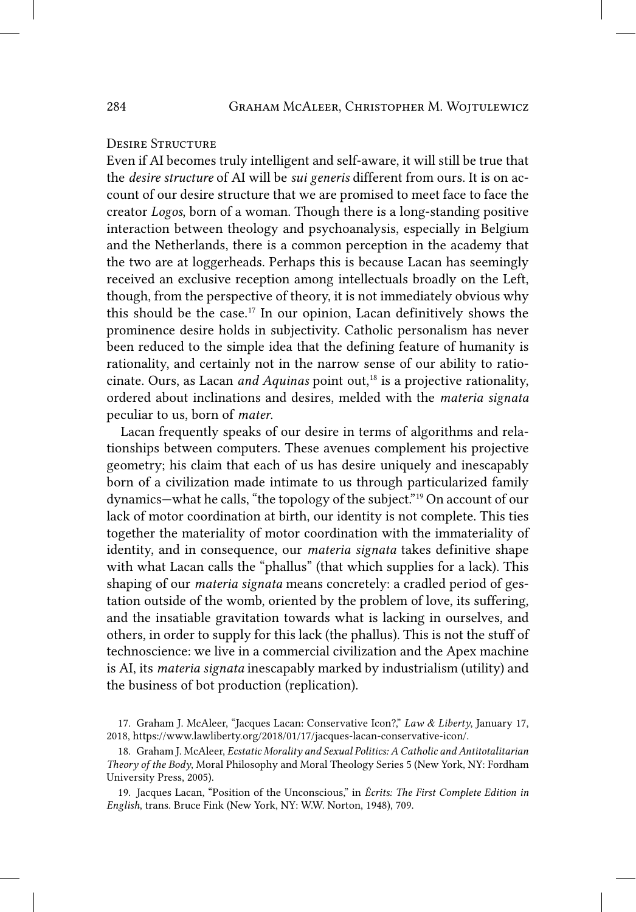# Desire Structure

Even if AI becomes truly intelligent and self-aware, it will still be true that the *desire structure* of AI will be *sui generis* different from ours. It is on account of our desire structure that we are promised to meet face to face the creator *Logos*, born of a woman. Though there is a long-standing positive interaction between theology and psychoanalysis, especially in Belgium and the Netherlands, there is a common perception in the academy that the two are at loggerheads. Perhaps this is because Lacan has seemingly received an exclusive reception among intellectuals broadly on the Left, though, from the perspective of theory, it is not immediately obvious why this should be the case.17 In our opinion, Lacan definitively shows the prominence desire holds in subjectivity. Catholic personalism has never been reduced to the simple idea that the defining feature of humanity is rationality, and certainly not in the narrow sense of our ability to ratiocinate. Ours, as Lacan *and Aquinas* point out,<sup>18</sup> is a projective rationality, ordered about inclinations and desires, melded with the *materia signata* peculiar to us, born of *mater*.

Lacan frequently speaks of our desire in terms of algorithms and relationships between computers. These avenues complement his projective geometry; his claim that each of us has desire uniquely and inescapably born of a civilization made intimate to us through particularized family dynamics—what he calls, "the topology of the subject."19 On account of our lack of motor coordination at birth, our identity is not complete. This ties together the materiality of motor coordination with the immateriality of identity, and in consequence, our *materia signata* takes definitive shape with what Lacan calls the "phallus" (that which supplies for a lack). This shaping of our *materia signata* means concretely: a cradled period of gestation outside of the womb, oriented by the problem of love, its suffering, and the insatiable gravitation towards what is lacking in ourselves, and others, in order to supply for this lack (the phallus). This is not the stuff of technoscience: we live in a commercial civilization and the Apex machine is AI, its *materia signata* inescapably marked by industrialism (utility) and the business of bot production (replication).

<sup>17.</sup> Graham J. McAleer, "Jacques Lacan: Conservative Icon?," *Law & Liberty*, January 17, 2018, https://www.lawliberty.org/2018/01/17/jacques-lacan-conservative-icon/.

<sup>18.</sup> Graham J. McAleer, *Ecstatic Morality and Sexual Politics: A Catholic and Antitotalitarian Theory of the Body*, Moral Philosophy and Moral Theology Series 5 (New York, NY: Fordham University Press, 2005).

<sup>19.</sup> Jacques Lacan, "Position of the Unconscious," in *Écrits: The First Complete Edition in English*, trans. Bruce Fink (New York, NY: W.W. Norton, 1948), 709.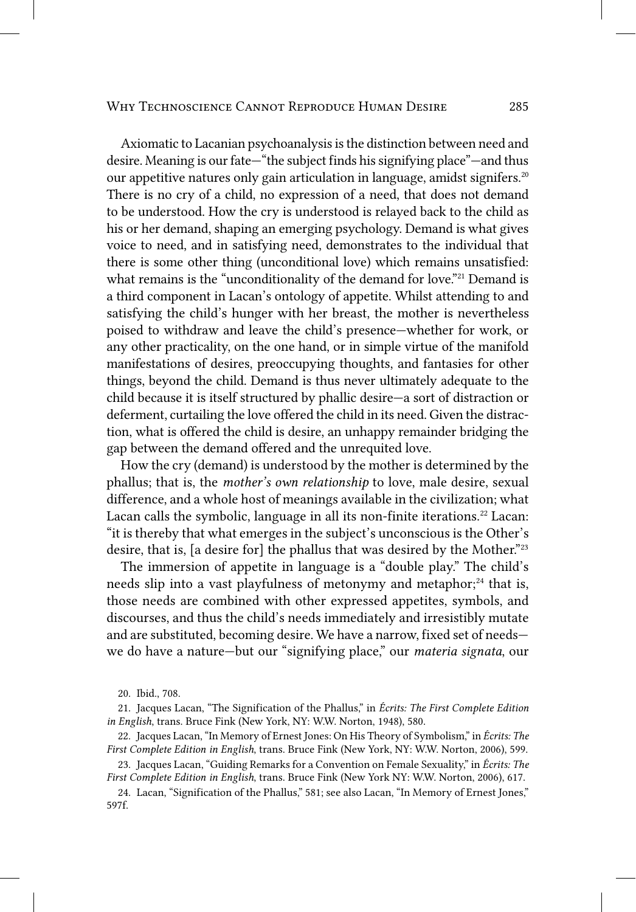Axiomatic to Lacanian psychoanalysis is the distinction between need and desire. Meaning is our fate—"the subject finds his signifying place"—and thus our appetitive natures only gain articulation in language, amidst signifers.<sup>20</sup> There is no cry of a child, no expression of a need, that does not demand to be understood. How the cry is understood is relaved back to the child as his or her demand, shaping an emerging psychology. Demand is what gives voice to need, and in satisfying need, demonstrates to the individual that there is some other thing (unconditional love) which remains unsatisfied: what remains is the "unconditionality of the demand for love."<sup>21</sup> Demand is a third component in Lacan's ontology of appetite. Whilst attending to and satisfying the child's hunger with her breast, the mother is nevertheless poised to withdraw and leave the child's presence-whether for work, or any other practicality, on the one hand, or in simple virtue of the manifold manifestations of desires, preoccupying thoughts, and fantasies for other things, beyond the child. Demand is thus never ultimately adequate to the child because it is itself structured by phallic desire-a sort of distraction or deferment, curtailing the love offered the child in its need. Given the distraction, what is offered the child is desire, an unhappy remainder bridging the gap between the demand offered and the unrequited love.

How the cry (demand) is understood by the mother is determined by the phallus; that is, the *mother's* own *relationship* to love, male desire, sexual difference, and a whole host of meanings available in the civilization; what Lacan calls the symbolic, language in all its non-finite iterations.<sup>22</sup> Lacan: "it is thereby that what emerges in the subject's unconscious is the Other's desire, that is, [a desire for] the phallus that was desired by the Mother."23

The immersion of appetite in language is a "double play." The child's needs slip into a vast playfulness of metonymy and metaphor;<sup>24</sup> that is, those needs are combined with other expressed appetites, symbols, and discourses, and thus the child's needs immediately and irresistibly mutate and are substituted, becoming desire. We have a narrow, fixed set of needswe do have a nature-but our "signifying place," our *materia signata*, our

22. Jacques Lacan, "In Memory of Ernest Jones: On His Theory of Symbolism," in Écrits: The First Complete Edition in English, trans. Bruce Fink (New York, NY: W.W. Norton, 2006), 599.

23. Jacques Lacan, "Guiding Remarks for a Convention on Female Sexuality," in Écrits: The First Complete Edition in English, trans. Bruce Fink (New York NY: W.W. Norton, 2006), 617.

24. Lacan, "Signification of the Phallus," 581; see also Lacan, "In Memory of Ernest Jones," 597f.

<sup>20.</sup> Ibid., 708.

<sup>21.</sup> Jacques Lacan, "The Signification of the Phallus," in Écrits: The First Complete Edition in English, trans. Bruce Fink (New York, NY: W.W. Norton, 1948), 580.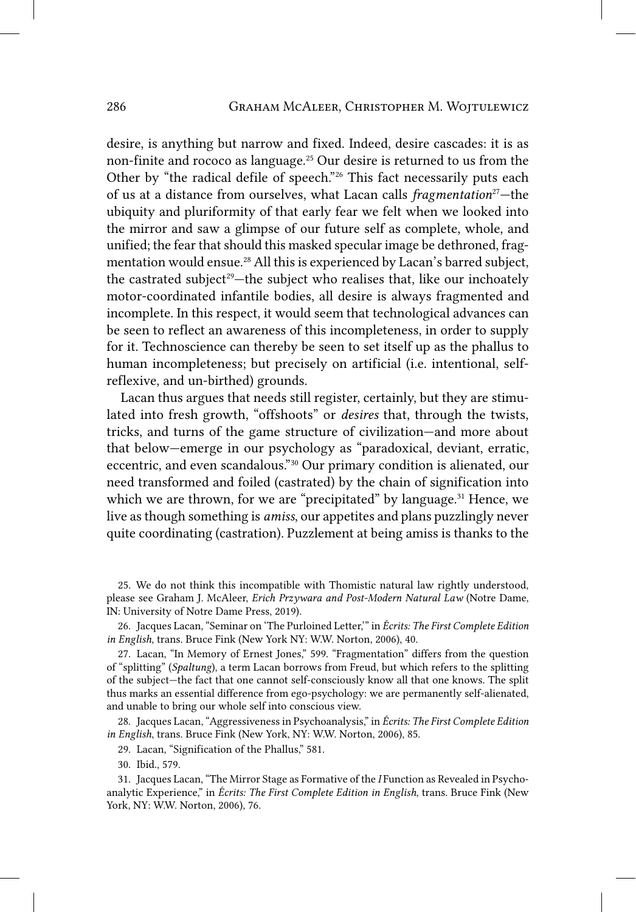desire, is anything but narrow and fixed. Indeed, desire cascades: it is as non-finite and rococo as language.25 Our desire is returned to us from the Other by "the radical defile of speech."26 This fact necessarily puts each of us at a distance from ourselves, what Lacan calls *fragmentation*27—the ubiquity and pluriformity of that early fear we felt when we looked into the mirror and saw a glimpse of our future self as complete, whole, and unified; the fear that should this masked specular image be dethroned, fragmentation would ensue.<sup>28</sup> All this is experienced by Lacan's barred subject, the castrated subject<sup>29</sup>—the subject who realises that, like our inchoately motor-coordinated infantile bodies, all desire is always fragmented and incomplete. In this respect, it would seem that technological advances can be seen to reflect an awareness of this incompleteness, in order to supply for it. Technoscience can thereby be seen to set itself up as the phallus to human incompleteness; but precisely on artificial (i.e. intentional, selfreflexive, and un-birthed) grounds.

Lacan thus argues that needs still register, certainly, but they are stimulated into fresh growth, "offshoots" or *desires* that, through the twists, tricks, and turns of the game structure of civilization—and more about that below—emerge in our psychology as "paradoxical, deviant, erratic, eccentric, and even scandalous."30 Our primary condition is alienated, our need transformed and foiled (castrated) by the chain of signification into which we are thrown, for we are "precipitated" by language.<sup>31</sup> Hence, we live as though something is *amiss*, our appetites and plans puzzlingly never quite coordinating (castration). Puzzlement at being amiss is thanks to the

25. We do not think this incompatible with Thomistic natural law rightly understood, please see Graham J. McAleer, *Erich Przywara and Post-Modern Natural Law* (Notre Dame, IN: University of Notre Dame Press, 2019).

26. Jacques Lacan, "Seminar on 'The Purloined Letter,'" in *Écrits: The First Complete Edition in English*, trans. Bruce Fink (New York NY: W.W. Norton, 2006), 40.

27. Lacan, "In Memory of Ernest Jones," 599. "Fragmentation" differs from the question of "splitting" (*Spaltung*), a term Lacan borrows from Freud, but which refers to the splitting of the subject—the fact that one cannot self-consciously know all that one knows. The split thus marks an essential difference from ego-psychology: we are permanently self-alienated, and unable to bring our whole self into conscious view.

28. Jacques Lacan, "Aggressiveness in Psychoanalysis," in *Écrits: The First Complete Edition in English*, trans. Bruce Fink (New York, NY: W.W. Norton, 2006), 85.

29. Lacan, "Signification of the Phallus," 581.

30. Ibid., 579.

31. Jacques Lacan, "The Mirror Stage as Formative of the *I* Function as Revealed in Psychoanalytic Experience," in *Écrits: The First Complete Edition in English*, trans. Bruce Fink (New York, NY: W.W. Norton, 2006), 76.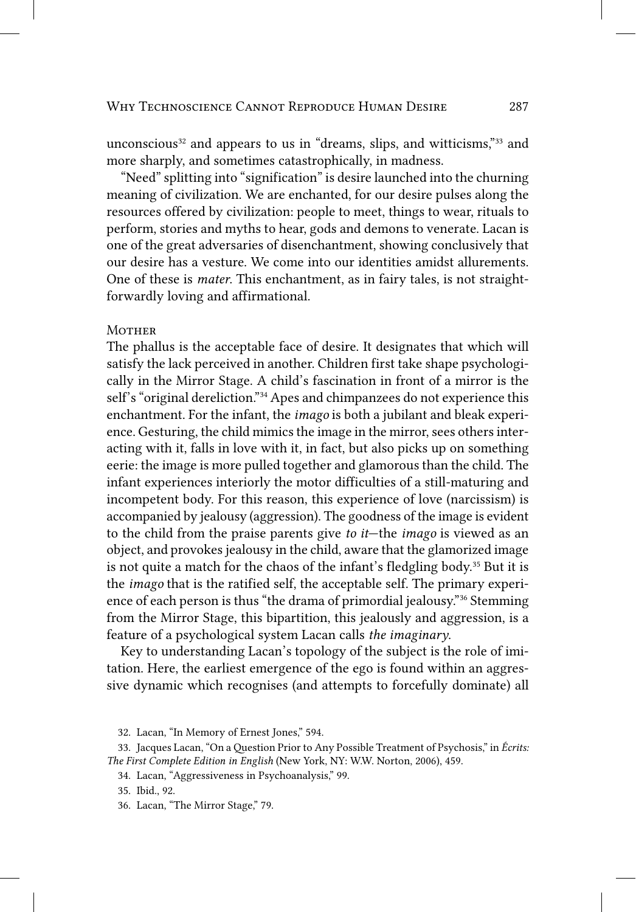unconscious<sup>32</sup> and appears to us in "dreams, slips, and witticisms,"<sup>33</sup> and more sharply, and sometimes catastrophically, in madness.

"Need" splitting into "signification" is desire launched into the churning meaning of civilization. We are enchanted, for our desire pulses along the resources offered by civilization: people to meet, things to wear, rituals to perform, stories and myths to hear, gods and demons to venerate. Lacan is one of the great adversaries of disenchantment, showing conclusively that our desire has a vesture. We come into our identities amidst allurements. One of these is *mater*. This enchantment, as in fairy tales, is not straightforwardly loving and affirmational.

#### **MOTHER**

The phallus is the acceptable face of desire. It designates that which will satisfy the lack perceived in another. Children first take shape psychologically in the Mirror Stage. A child's fascination in front of a mirror is the self's "original dereliction."<sup>34</sup> Apes and chimpanzees do not experience this enchantment. For the infant, the *imago* is both a jubilant and bleak experience. Gesturing, the child mimics the image in the mirror, sees others interacting with it, falls in love with it, in fact, but also picks up on something eerie: the image is more pulled together and glamorous than the child. The infant experiences interiorly the motor difficulties of a still-maturing and incompetent body. For this reason, this experience of love (narcissism) is accompanied by jealousy (aggression). The goodness of the image is evident to the child from the praise parents give *to it*—the *imago* is viewed as an object, and provokes jealousy in the child, aware that the glamorized image is not quite a match for the chaos of the infant's fledgling body.<sup>35</sup> But it is the *imago* that is the ratified self, the acceptable self. The primary experience of each person is thus "the drama of primordial jealousy."<sup>36</sup> Stemming from the Mirror Stage, this bipartition, this jealously and aggression, is a feature of a psychological system Lacan calls the imaginary.

Key to understanding Lacan's topology of the subject is the role of imitation. Here, the earliest emergence of the ego is found within an aggressive dynamic which recognises (and attempts to forcefully dominate) all

<sup>32.</sup> Lacan, "In Memory of Ernest Jones," 594.

<sup>33.</sup> Jacques Lacan, "On a Question Prior to Any Possible Treatment of Psychosis," in Écrits: The First Complete Edition in English (New York, NY: W.W. Norton, 2006), 459.

<sup>34.</sup> Lacan, "Aggressiveness in Psychoanalysis," 99.

<sup>35.</sup> Ibid., 92.

<sup>36.</sup> Lacan, "The Mirror Stage," 79.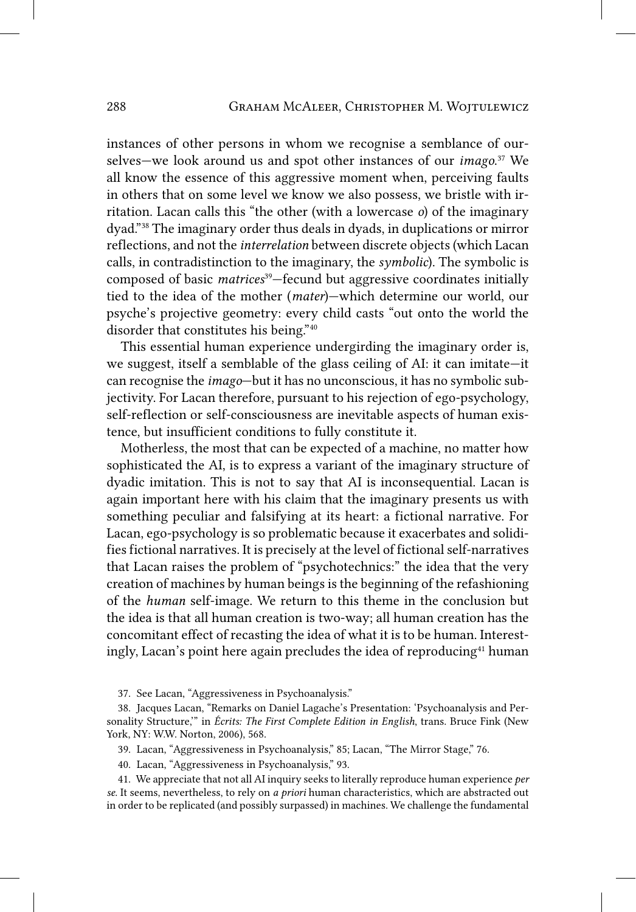instances of other persons in whom we recognise a semblance of ourselves—we look around us and spot other instances of our *imago*. 37 We all know the essence of this aggressive moment when, perceiving faults in others that on some level we know we also possess, we bristle with irritation. Lacan calls this "the other (with a lowercase *o*) of the imaginary dyad."38 The imaginary order thus deals in dyads, in duplications or mirror reflections, and not the *interrelation* between discrete objects (which Lacan calls, in contradistinction to the imaginary, the *symbolic*). The symbolic is composed of basic *matrices*39—fecund but aggressive coordinates initially tied to the idea of the mother (*mater*)—which determine our world, our psyche's projective geometry: every child casts "out onto the world the disorder that constitutes his being."40

This essential human experience undergirding the imaginary order is, we suggest, itself a semblable of the glass ceiling of AI: it can imitate—it can recognise the *imago*—but it has no unconscious, it has no symbolic subjectivity. For Lacan therefore, pursuant to his rejection of ego-psychology, self-reflection or self-consciousness are inevitable aspects of human existence, but insufficient conditions to fully constitute it.

Motherless, the most that can be expected of a machine, no matter how sophisticated the AI, is to express a variant of the imaginary structure of dyadic imitation. This is not to say that AI is inconsequential. Lacan is again important here with his claim that the imaginary presents us with something peculiar and falsifying at its heart: a fictional narrative. For Lacan, ego-psychology is so problematic because it exacerbates and solidifies fictional narratives. It is precisely at the level of fictional self-narratives that Lacan raises the problem of "psychotechnics:" the idea that the very creation of machines by human beings is the beginning of the refashioning of the *human* self-image. We return to this theme in the conclusion but the idea is that all human creation is two-way; all human creation has the concomitant effect of recasting the idea of what it is to be human. Interestingly, Lacan's point here again precludes the idea of reproducing<sup>41</sup> human

37. See Lacan, "Aggressiveness in Psychoanalysis."

39. Lacan, "Aggressiveness in Psychoanalysis," 85; Lacan, "The Mirror Stage," 76.

40. Lacan, "Aggressiveness in Psychoanalysis," 93.

41. We appreciate that not all AI inquiry seeks to literally reproduce human experience *per se*. It seems, nevertheless, to rely on *a priori* human characteristics, which are abstracted out in order to be replicated (and possibly surpassed) in machines. We challenge the fundamental

<sup>38.</sup> Jacques Lacan, "Remarks on Daniel Lagache's Presentation: 'Psychoanalysis and Personality Structure,'" in *Écrits: The First Complete Edition in English*, trans. Bruce Fink (New York, NY: W.W. Norton, 2006), 568.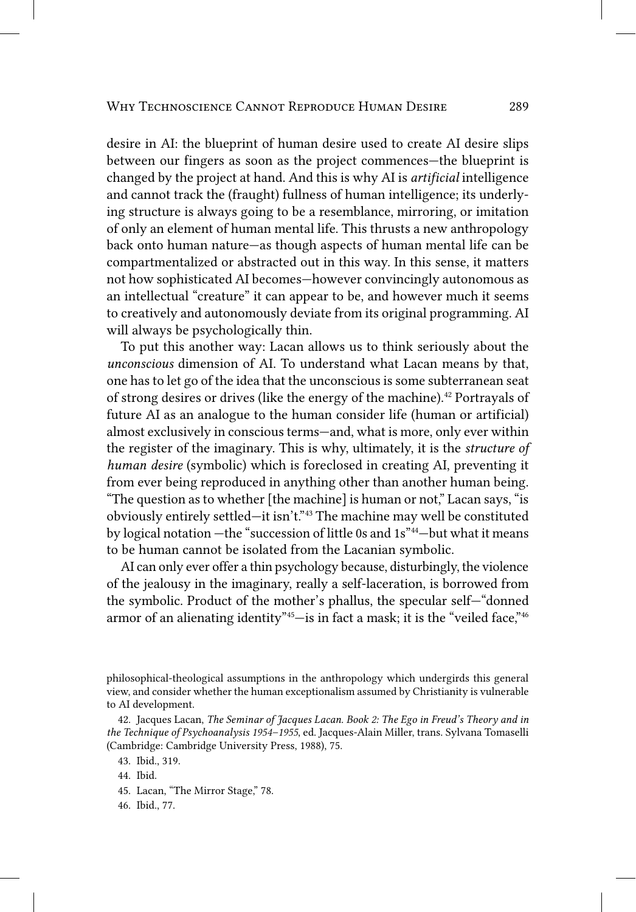desire in AI: the blueprint of human desire used to create AI desire slips between our fingers as soon as the project commences—the blueprint is changed by the project at hand. And this is why AI is *artificial* intelligence and cannot track the (fraught) fullness of human intelligence; its underlying structure is always going to be a resemblance, mirroring, or imitation of only an element of human mental life. This thrusts a new anthropology back onto human nature—as though aspects of human mental life can be compartmentalized or abstracted out in this way. In this sense, it matters not how sophisticated AI becomes—however convincingly autonomous as an intellectual "creature" it can appear to be, and however much it seems to creatively and autonomously deviate from its original programming. AI will always be psychologically thin.

To put this another way: Lacan allows us to think seriously about the *unconscious* dimension of AI. To understand what Lacan means by that, one has to let go of the idea that the unconscious is some subterranean seat of strong desires or drives (like the energy of the machine).<sup>42</sup> Portrayals of future AI as an analogue to the human consider life (human or artificial) almost exclusively in conscious terms—and, what is more, only ever within the register of the imaginary. This is why, ultimately, it is the *structure of human desire* (symbolic) which is foreclosed in creating AI, preventing it from ever being reproduced in anything other than another human being. "The question as to whether [the machine] is human or not," Lacan says, "is obviously entirely settled—it isn't."43 The machine may well be constituted by logical notation —the "succession of little 0s and 1s"44—but what it means to be human cannot be isolated from the Lacanian symbolic.

AI can only ever offer a thin psychology because, disturbingly, the violence of the jealousy in the imaginary, really a self-laceration, is borrowed from the symbolic. Product of the mother's phallus, the specular self—"donned armor of an alienating identity"45—is in fact a mask; it is the "veiled face,"46

philosophical-theological assumptions in the anthropology which undergirds this general view, and consider whether the human exceptionalism assumed by Christianity is vulnerable to AI development.

42. Jacques Lacan, *The Seminar of Jacques Lacan. Book 2: The Ego in Freud's Theory and in the Technique of Psychoanalysis 1954–1955*, ed. Jacques-Alain Miller, trans. Sylvana Tomaselli (Cambridge: Cambridge University Press, 1988), 75.

43. Ibid., 319.

44. Ibid.

45. Lacan, "The Mirror Stage," 78.

46. Ibid., 77.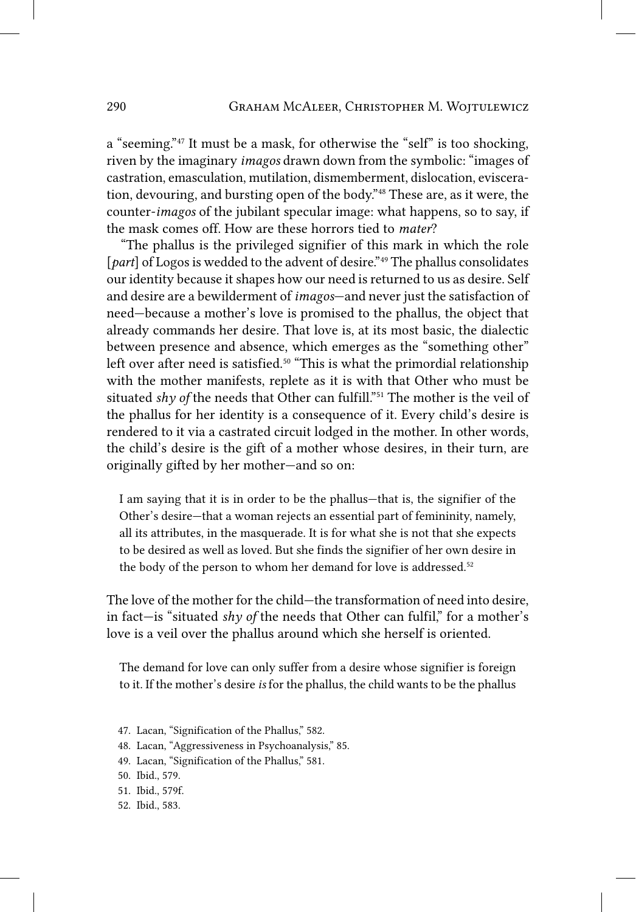a "seeming."47 It must be a mask, for otherwise the "self" is too shocking, riven by the imaginary *imagos* drawn down from the symbolic: "images of castration, emasculation, mutilation, dismemberment, dislocation, evisceration, devouring, and bursting open of the body."48 These are, as it were, the counter-*imagos* of the jubilant specular image: what happens, so to say, if the mask comes off. How are these horrors tied to *mater*?

"The phallus is the privileged signifier of this mark in which the role [*part*] of Logos is wedded to the advent of desire.<sup>"49</sup> The phallus consolidates our identity because it shapes how our need is returned to us as desire. Self and desire are a bewilderment of *imagos*—and never just the satisfaction of need—because a mother's love is promised to the phallus, the object that already commands her desire. That love is, at its most basic, the dialectic between presence and absence, which emerges as the "something other" left over after need is satisfied.<sup>50</sup> "This is what the primordial relationship with the mother manifests, replete as it is with that Other who must be situated *shy of* the needs that Other can fulfill."<sup>51</sup> The mother is the veil of the phallus for her identity is a consequence of it. Every child's desire is rendered to it via a castrated circuit lodged in the mother. In other words, the child's desire is the gift of a mother whose desires, in their turn, are originally gifted by her mother—and so on:

I am saying that it is in order to be the phallus—that is, the signifier of the Other's desire—that a woman rejects an essential part of femininity, namely, all its attributes, in the masquerade. It is for what she is not that she expects to be desired as well as loved. But she finds the signifier of her own desire in the body of the person to whom her demand for love is addressed.<sup>52</sup>

The love of the mother for the child—the transformation of need into desire, in fact—is "situated *shy of* the needs that Other can fulfil," for a mother's love is a veil over the phallus around which she herself is oriented.

The demand for love can only suffer from a desire whose signifier is foreign to it. If the mother's desire *is* for the phallus, the child wants to be the phallus

- 47. Lacan, "Signification of the Phallus," 582.
- 48. Lacan, "Aggressiveness in Psychoanalysis," 85.
- 49. Lacan, "Signification of the Phallus," 581.
- 50. Ibid., 579.
- 51. Ibid., 579f.
- 52. Ibid., 583.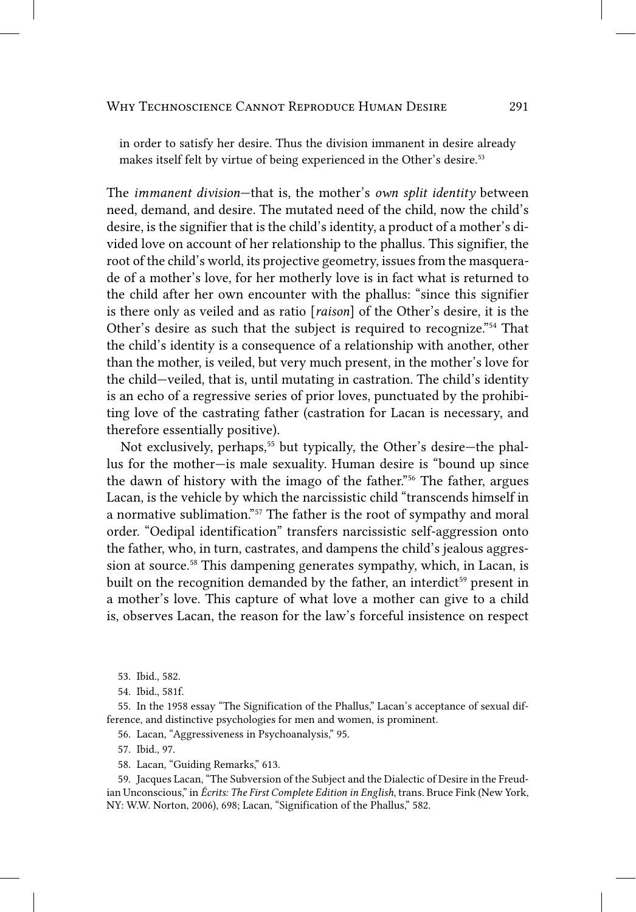in order to satisfy her desire. Thus the division immanent in desire already makes itself felt by virtue of being experienced in the Other's desire.<sup>53</sup>

The *immanent division*—that is, the mother's *own split identity* between need, demand, and desire. The mutated need of the child, now the child's desire, is the signifier that is the child's identity, a product of a mother's divided love on account of her relationship to the phallus. This signifier, the root of the child's world, its projective geometry, issues from the masquerade of a mother's love, for her motherly love is in fact what is returned to the child after her own encounter with the phallus: "since this signifier is there only as veiled and as ratio [raison] of the Other's desire, it is the Other's desire as such that the subject is required to recognize."<sup>54</sup> That the child's identity is a consequence of a relationship with another, other than the mother, is veiled, but very much present, in the mother's love for the child-veiled, that is, until mutating in castration. The child's identity is an echo of a regressive series of prior loves, punctuated by the prohibiting love of the castrating father (castration for Lacan is necessary, and therefore essentially positive).

Not exclusively, perhaps,<sup>55</sup> but typically, the Other's desire-the phallus for the mother-is male sexuality. Human desire is "bound up since the dawn of history with the imago of the father."<sup>56</sup> The father, argues Lacan, is the vehicle by which the narcissistic child "transcends himself in a normative sublimation."<sup>57</sup> The father is the root of sympathy and moral order. "Oedipal identification" transfers narcissistic self-aggression onto the father, who, in turn, castrates, and dampens the child's jealous aggression at source.<sup>58</sup> This dampening generates sympathy, which, in Lacan, is built on the recognition demanded by the father, an interdict<sup>59</sup> present in a mother's love. This capture of what love a mother can give to a child is, observes Lacan, the reason for the law's forceful insistence on respect

53. Ibid., 582.

55. In the 1958 essay "The Signification of the Phallus," Lacan's acceptance of sexual difference, and distinctive psychologies for men and women, is prominent.

56. Lacan, "Aggressiveness in Psychoanalysis," 95.

57. Ibid., 97.

58. Lacan, "Guiding Remarks," 613.

59. Jacques Lacan, "The Subversion of the Subject and the Dialectic of Desire in the Freudian Unconscious," in Écrits: The First Complete Edition in English, trans. Bruce Fink (New York, NY: W.W. Norton, 2006), 698; Lacan, "Signification of the Phallus," 582.

<sup>54.</sup> Ibid., 581f.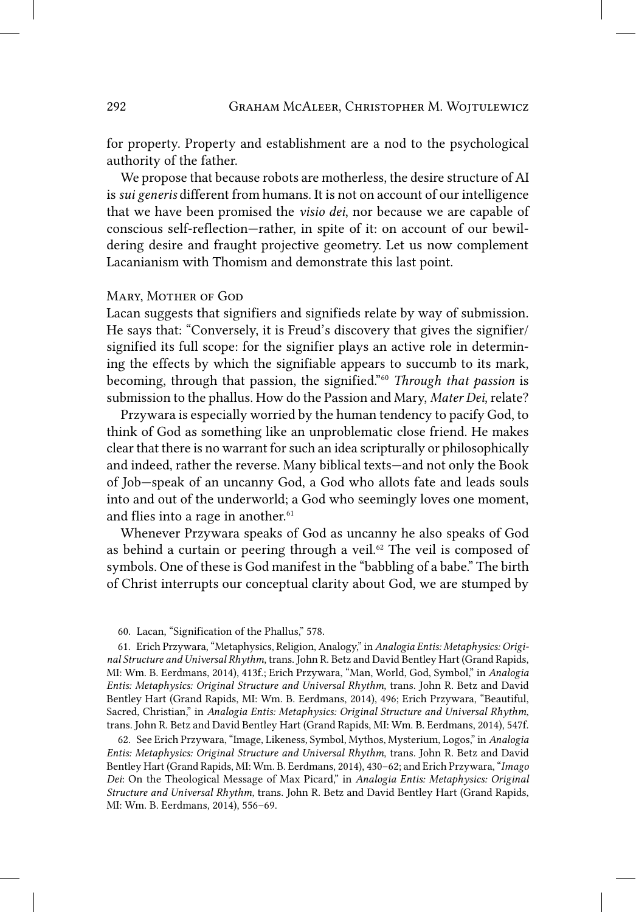for property. Property and establishment are a nod to the psychological authority of the father.

We propose that because robots are motherless, the desire structure of AI is *sui generis* different from humans. It is not on account of our intelligence that we have been promised the *visio dei*, nor because we are capable of conscious self-reflection—rather, in spite of it: on account of our bewildering desire and fraught projective geometry. Let us now complement Lacanianism with Thomism and demonstrate this last point.

### Mary, Mother of God

Lacan suggests that signifiers and signifieds relate by way of submission. He says that: "Conversely, it is Freud's discovery that gives the signifier/ signified its full scope: for the signifier plays an active role in determining the effects by which the signifiable appears to succumb to its mark, becoming, through that passion, the signified."60 *Through that passion* is submission to the phallus. How do the Passion and Mary, *Mater Dei*, relate?

Przywara is especially worried by the human tendency to pacify God, to think of God as something like an unproblematic close friend. He makes clear that there is no warrant for such an idea scripturally or philosophically and indeed, rather the reverse. Many biblical texts—and not only the Book of Job—speak of an uncanny God, a God who allots fate and leads souls into and out of the underworld; a God who seemingly loves one moment, and flies into a rage in another.<sup>61</sup>

Whenever Przywara speaks of God as uncanny he also speaks of God as behind a curtain or peering through a veil. $62$  The veil is composed of symbols. One of these is God manifest in the "babbling of a babe." The birth of Christ interrupts our conceptual clarity about God, we are stumped by

62. See Erich Przywara, "Image, Likeness, Symbol, Mythos, Mysterium, Logos," in *Analogia Entis: Metaphysics: Original Structure and Universal Rhythm*, trans. John R. Betz and David Bentley Hart (Grand Rapids, MI: Wm. B. Eerdmans, 2014), 430–62; and Erich Przywara, "*Imago Dei*: On the Theological Message of Max Picard," in *Analogia Entis: Metaphysics: Original Structure and Universal Rhythm*, trans. John R. Betz and David Bentley Hart (Grand Rapids, MI: Wm. B. Eerdmans, 2014), 556–69.

<sup>60.</sup> Lacan, "Signification of the Phallus," 578.

<sup>61.</sup> Erich Przywara, "Metaphysics, Religion, Analogy," in *Analogia Entis: Metaphysics: Original Structure and Universal Rhythm*, trans. John R. Betz and David Bentley Hart (Grand Rapids, MI: Wm. B. Eerdmans, 2014), 413f.; Erich Przywara, "Man, World, God, Symbol," in *Analogia Entis: Metaphysics: Original Structure and Universal Rhythm*, trans. John R. Betz and David Bentley Hart (Grand Rapids, MI: Wm. B. Eerdmans, 2014), 496; Erich Przywara, "Beautiful, Sacred, Christian," in *Analogia Entis: Metaphysics: Original Structure and Universal Rhythm*, trans. John R. Betz and David Bentley Hart (Grand Rapids, MI: Wm. B. Eerdmans, 2014), 547f.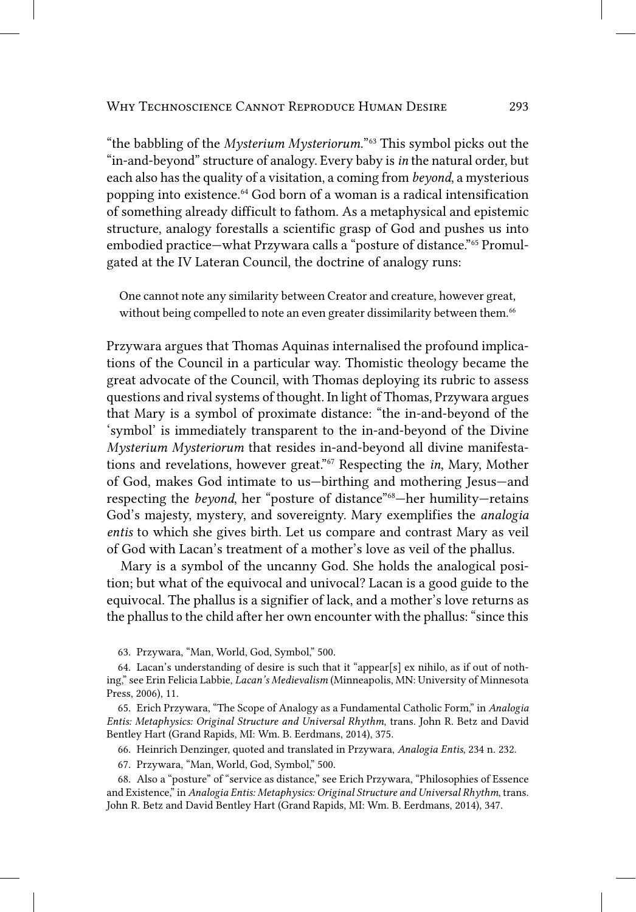"the babbling of the *Mysterium Mysteriorum*."<sup>63</sup> This symbol picks out the "in-and-beyond" structure of analogy. Every baby is in the natural order, but each also has the quality of a visitation, a coming from beyond, a mysterious popping into existence.<sup>64</sup> God born of a woman is a radical intensification of something already difficult to fathom. As a metaphysical and epistemic structure, analogy forestalls a scientific grasp of God and pushes us into embodied practice—what Przywara calls a "posture of distance."<sup>65</sup> Promulgated at the IV Lateran Council, the doctrine of analogy runs:

One cannot note any similarity between Creator and creature, however great, without being compelled to note an even greater dissimilarity between them.<sup>66</sup>

Przywara argues that Thomas Aquinas internalised the profound implications of the Council in a particular way. Thomistic theology became the great advocate of the Council, with Thomas deploying its rubric to assess questions and rival systems of thought. In light of Thomas, Przywara argues that Mary is a symbol of proximate distance: "the in-and-beyond of the 'symbol' is immediately transparent to the in-and-beyond of the Divine Mysterium Mysteriorum that resides in-and-beyond all divine manifestations and revelations, however great."<sup>67</sup> Respecting the *in*, Mary, Mother of God, makes God intimate to us-birthing and mothering Jesus-and respecting the *beyond*, her "posture of distance"<sup>68</sup>-her humility-retains God's majesty, mystery, and sovereignty. Mary exemplifies the *analogia* entis to which she gives birth. Let us compare and contrast Mary as veil of God with Lacan's treatment of a mother's love as veil of the phallus.

Mary is a symbol of the uncanny God. She holds the analogical position; but what of the equivocal and univocal? Lacan is a good guide to the equivocal. The phallus is a signifier of lack, and a mother's love returns as the phallus to the child after her own encounter with the phallus: "since this

63. Przywara, "Man, World, God, Symbol," 500.

64. Lacan's understanding of desire is such that it "appear[s] ex nihilo, as if out of nothing," see Erin Felicia Labbie, Lacan's Medievalism (Minneapolis, MN: University of Minnesota Press, 2006), 11.

65. Erich Przywara, "The Scope of Analogy as a Fundamental Catholic Form," in Analogia Entis: Metaphysics: Original Structure and Universal Rhythm, trans. John R. Betz and David Bentley Hart (Grand Rapids, MI: Wm. B. Eerdmans, 2014), 375.

66. Heinrich Denzinger, quoted and translated in Przywara, Analogia Entis, 234 n. 232.

67. Przywara, "Man, World, God, Symbol," 500.

68. Also a "posture" of "service as distance," see Erich Przywara, "Philosophies of Essence and Existence," in Analogia Entis: Metaphysics: Original Structure and Universal Rhythm, trans. John R. Betz and David Bentley Hart (Grand Rapids, MI: Wm. B. Eerdmans, 2014), 347.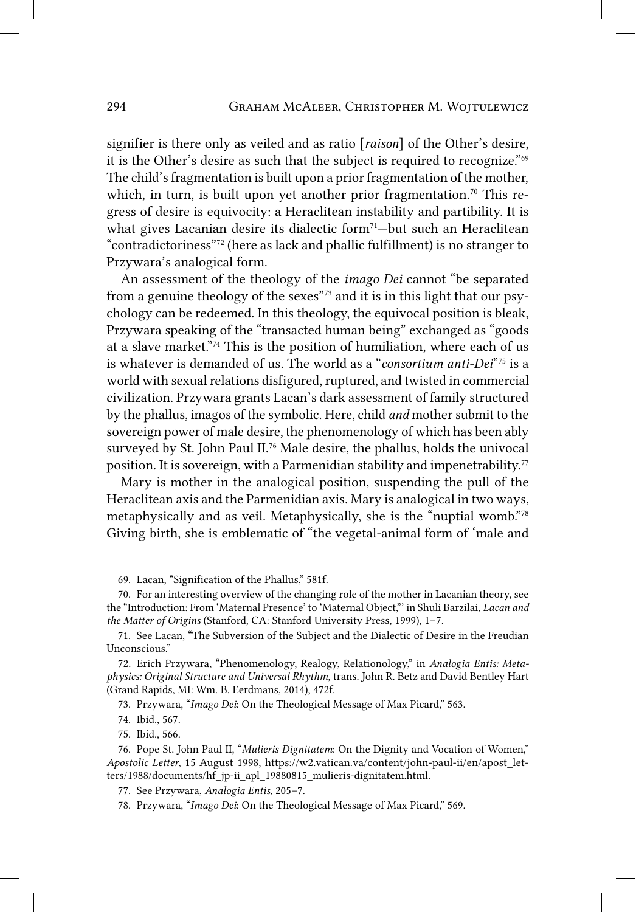signifier is there only as veiled and as ratio [*raison*] of the Other's desire, it is the Other's desire as such that the subject is required to recognize."69 The child's fragmentation is built upon a prior fragmentation of the mother, which, in turn, is built upon yet another prior fragmentation.<sup>70</sup> This regress of desire is equivocity: a Heraclitean instability and partibility. It is what gives Lacanian desire its dialectic form<sup>71</sup>-but such an Heraclitean "contradictoriness"72 (here as lack and phallic fulfillment) is no stranger to Przywara's analogical form.

An assessment of the theology of the *imago Dei* cannot "be separated from a genuine theology of the sexes"73 and it is in this light that our psychology can be redeemed. In this theology, the equivocal position is bleak, Przywara speaking of the "transacted human being" exchanged as "goods at a slave market."74 This is the position of humiliation, where each of us is whatever is demanded of us. The world as a "*consortium anti-Dei*"75 is a world with sexual relations disfigured, ruptured, and twisted in commercial civilization. Przywara grants Lacan's dark assessment of family structured by the phallus, imagos of the symbolic. Here, child *and* mother submit to the sovereign power of male desire, the phenomenology of which has been ably surveyed by St. John Paul II.76 Male desire, the phallus, holds the univocal position. It is sovereign, with a Parmenidian stability and impenetrability.<sup>77</sup>

Mary is mother in the analogical position, suspending the pull of the Heraclitean axis and the Parmenidian axis. Mary is analogical in two ways, metaphysically and as veil. Metaphysically, she is the "nuptial womb."78 Giving birth, she is emblematic of "the vegetal-animal form of 'male and

69. Lacan, "Signification of the Phallus," 581f.

70. For an interesting overview of the changing role of the mother in Lacanian theory, see the "Introduction: From 'Maternal Presence' to 'Maternal Object,"' in Shuli Barzilai, *Lacan and the Matter of Origins* (Stanford, CA: Stanford University Press, 1999), 1–7.

71. See Lacan, "The Subversion of the Subject and the Dialectic of Desire in the Freudian Unconscious."

72. Erich Przywara, "Phenomenology, Realogy, Relationology," in *Analogia Entis: Metaphysics: Original Structure and Universal Rhythm*, trans. John R. Betz and David Bentley Hart (Grand Rapids, MI: Wm. B. Eerdmans, 2014), 472f.

73. Przywara, "*Imago Dei*: On the Theological Message of Max Picard," 563.

74. Ibid., 567.

75. Ibid., 566.

76. Pope St. John Paul II, "*Mulieris Dignitatem*: On the Dignity and Vocation of Women," *Apostolic Letter*, 15 August 1998, https://w2.vatican.va/content/john-paul-ii/en/apost\_letters/1988/documents/hf\_jp-ii\_apl\_19880815\_mulieris-dignitatem.html.

77. See Przywara, *Analogia Entis*, 205–7.

78. Przywara, "*Imago Dei*: On the Theological Message of Max Picard," 569.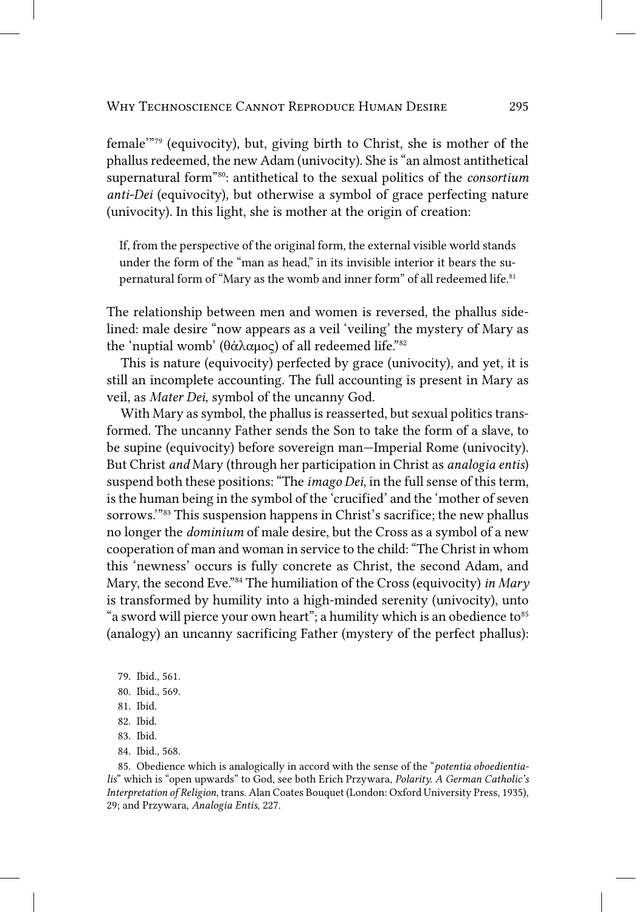female'"79 (equivocity), but, giving birth to Christ, she is mother of the phallus redeemed, the new Adam (univocity). She is "an almost antithetical supernatural form"80: antithetical to the sexual politics of the *consortium anti-Dei* (equivocity), but otherwise a symbol of grace perfecting nature (univocity). In this light, she is mother at the origin of creation:

If, from the perspective of the original form, the external visible world stands under the form of the "man as head," in its invisible interior it bears the supernatural form of "Mary as the womb and inner form" of all redeemed life.<sup>81</sup>

The relationship between men and women is reversed, the phallus sidelined: male desire "now appears as a veil 'veiling' the mystery of Mary as the 'nuptial womb' (θάλαμος) of all redeemed life."82

This is nature (equivocity) perfected by grace (univocity), and yet, it is still an incomplete accounting. The full accounting is present in Mary as veil, as *Mater Dei*, symbol of the uncanny God.

With Mary as symbol, the phallus is reasserted, but sexual politics transformed. The uncanny Father sends the Son to take the form of a slave, to be supine (equivocity) before sovereign man—Imperial Rome (univocity). But Christ *and* Mary (through her participation in Christ as *analogia entis*) suspend both these positions: "The *imago Dei*, in the full sense of this term, is the human being in the symbol of the 'crucified' and the 'mother of seven sorrows.'"83 This suspension happens in Christ's sacrifice; the new phallus no longer the *dominium* of male desire, but the Cross as a symbol of a new cooperation of man and woman in service to the child: "The Christ in whom this 'newness' occurs is fully concrete as Christ, the second Adam, and Mary, the second Eve."84 The humiliation of the Cross (equivocity) *in Mary* is transformed by humility into a high-minded serenity (univocity), unto "a sword will pierce your own heart"; a humility which is an obedience to  $85$ (analogy) an uncanny sacrificing Father (mystery of the perfect phallus):

- 79. Ibid., 561.
- 80. Ibid., 569.
- 81. Ibid.
- 82. Ibid.
- 83. Ibid.
- 84. Ibid., 568.

85. Obedience which is analogically in accord with the sense of the "*potentia oboedientialis*" which is "open upwards" to God, see both Erich Przywara, *Polarity. A German Catholic's Interpretation of Religion*, trans. Alan Coates Bouquet (London: Oxford University Press, 1935), 29; and Przywara, *Analogia Entis*, 227.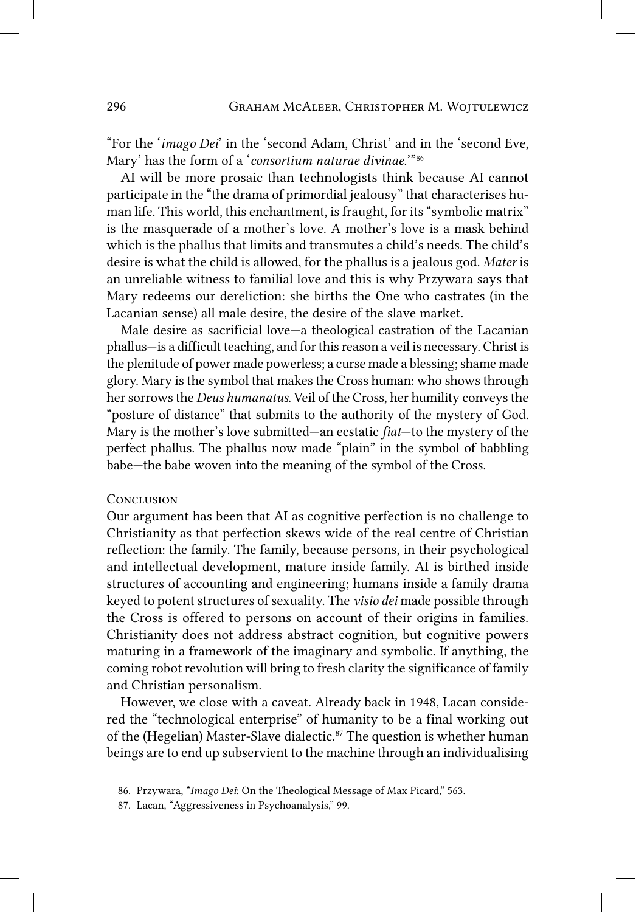"For the '*imago Dei*' in the 'second Adam, Christ' and in the 'second Eve, Mary' has the form of a '*consortium naturae divinae.*'"86

AI will be more prosaic than technologists think because AI cannot participate in the "the drama of primordial jealousy" that characterises human life. This world, this enchantment, is fraught, for its "symbolic matrix" is the masquerade of a mother's love. A mother's love is a mask behind which is the phallus that limits and transmutes a child's needs. The child's desire is what the child is allowed, for the phallus is a jealous god. *Mater* is an unreliable witness to familial love and this is why Przywara says that Mary redeems our dereliction: she births the One who castrates (in the Lacanian sense) all male desire, the desire of the slave market.

Male desire as sacrificial love—a theological castration of the Lacanian phallus—is a difficult teaching, and for this reason a veil is necessary. Christ is the plenitude of power made powerless; a curse made a blessing; shame made glory. Mary is the symbol that makes the Cross human: who shows through her sorrows the *Deus humanatus*. Veil of the Cross, her humility conveys the "posture of distance" that submits to the authority of the mystery of God. Mary is the mother's love submitted—an ecstatic *fiat*—to the mystery of the perfect phallus. The phallus now made "plain" in the symbol of babbling babe—the babe woven into the meaning of the symbol of the Cross.

#### **CONCLUSION**

Our argument has been that AI as cognitive perfection is no challenge to Christianity as that perfection skews wide of the real centre of Christian reflection: the family. The family, because persons, in their psychological and intellectual development, mature inside family. AI is birthed inside structures of accounting and engineering; humans inside a family drama keyed to potent structures of sexuality. The *visio dei* made possible through the Cross is offered to persons on account of their origins in families. Christianity does not address abstract cognition, but cognitive powers maturing in a framework of the imaginary and symbolic. If anything, the coming robot revolution will bring to fresh clarity the significance of family and Christian personalism.

However, we close with a caveat. Already back in 1948, Lacan considered the "technological enterprise" of humanity to be a final working out of the (Hegelian) Master-Slave dialectic.<sup>87</sup> The question is whether human beings are to end up subservient to the machine through an individualising

<sup>86.</sup> Przywara, "*Imago Dei*: On the Theological Message of Max Picard," 563.

<sup>87.</sup> Lacan, "Aggressiveness in Psychoanalysis," 99.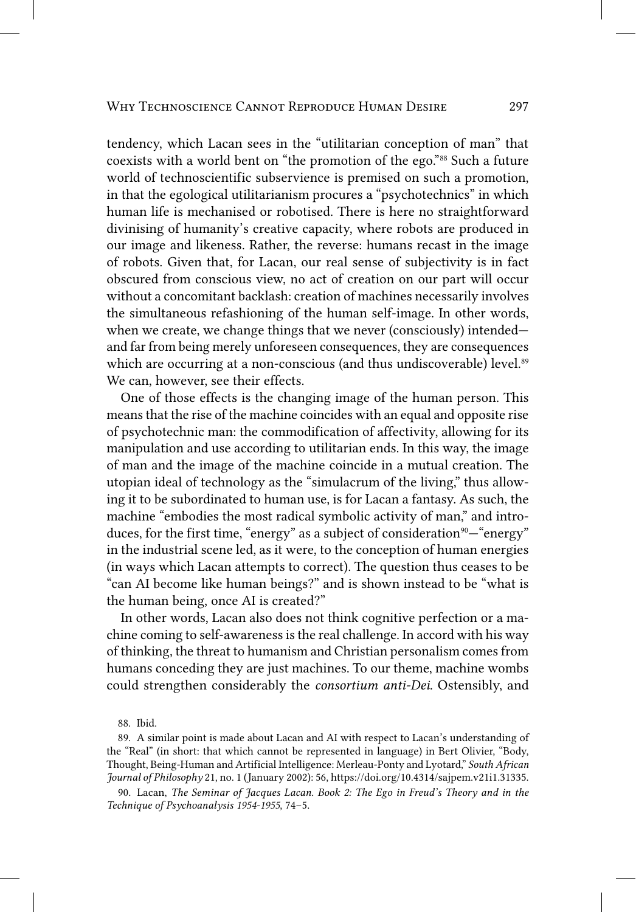tendency, which Lacan sees in the "utilitarian conception of man" that coexists with a world bent on "the promotion of the ego."88 Such a future world of technoscientific subservience is premised on such a promotion, in that the egological utilitarianism procures a "psychotechnics" in which human life is mechanised or robotised. There is here no straightforward divinising of humanity's creative capacity, where robots are produced in our image and likeness. Rather, the reverse: humans recast in the image of robots. Given that, for Lacan, our real sense of subjectivity is in fact obscured from conscious view, no act of creation on our part will occur without a concomitant backlash: creation of machines necessarily involves the simultaneous refashioning of the human self-image. In other words, when we create, we change things that we never (consciously) intended and far from being merely unforeseen consequences, they are consequences which are occurring at a non-conscious (and thus undiscoverable) level.<sup>89</sup> We can, however, see their effects.

One of those effects is the changing image of the human person. This means that the rise of the machine coincides with an equal and opposite rise of psychotechnic man: the commodification of affectivity, allowing for its manipulation and use according to utilitarian ends. In this way, the image of man and the image of the machine coincide in a mutual creation. The utopian ideal of technology as the "simulacrum of the living," thus allowing it to be subordinated to human use, is for Lacan a fantasy. As such, the machine "embodies the most radical symbolic activity of man," and introduces, for the first time, "energy" as a subject of consideration<sup>90</sup>— "energy" in the industrial scene led, as it were, to the conception of human energies (in ways which Lacan attempts to correct). The question thus ceases to be "can AI become like human beings?" and is shown instead to be "what is the human being, once AI is created?"

In other words, Lacan also does not think cognitive perfection or a machine coming to self-awareness is the real challenge. In accord with his way of thinking, the threat to humanism and Christian personalism comes from humans conceding they are just machines. To our theme, machine wombs could strengthen considerably the *consortium anti-Dei*. Ostensibly, and

88. Ibid.

<sup>89.</sup> A similar point is made about Lacan and AI with respect to Lacan's understanding of the "Real" (in short: that which cannot be represented in language) in Bert Olivier, "Body, Thought, Being-Human and Artificial Intelligence: Merleau-Ponty and Lyotard," *South African Journal of Philosophy* 21, no. 1 (January 2002): 56, https://doi.org/10.4314/sajpem.v21i1.31335.

<sup>90.</sup> Lacan, *The Seminar of Jacques Lacan. Book 2: The Ego in Freud's Theory and in the Technique of Psychoanalysis 1954-1955*, 74–5.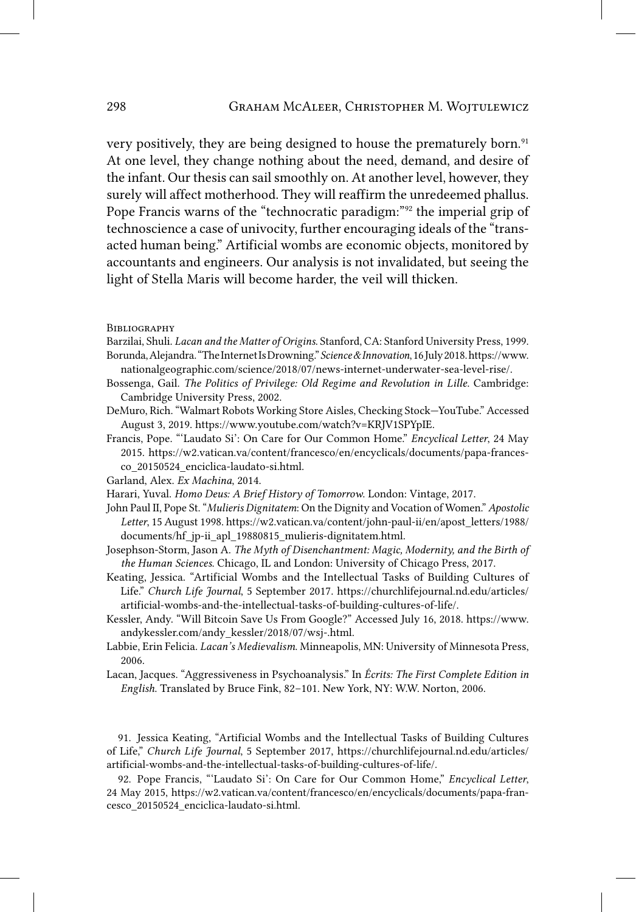very positively, they are being designed to house the prematurely born.<sup>91</sup> At one level, they change nothing about the need, demand, and desire of the infant. Our thesis can sail smoothly on. At another level, however, they surely will affect motherhood. They will reaffirm the unredeemed phallus. Pope Francis warns of the "technocratic paradigm:"<sup>92</sup> the imperial grip of technoscience a case of univocity, further encouraging ideals of the "transacted human being." Artificial wombs are economic objects, monitored by accountants and engineers. Our analysis is not invalidated, but seeing the light of Stella Maris will become harder, the veil will thicken.

**BIBLIOGRAPHY** 

- Barzilai, Shuli. *Lacan and the Matter of Origins*. Stanford, CA: Stanford University Press, 1999. Borunda, Alejandra. "The Internet Is Drowning." *Science & Innovation*, 16 July 2018. https://www. nationalgeographic.com/science/2018/07/news-internet-underwater-sea-level-rise/.
- Bossenga, Gail. *The Politics of Privilege: Old Regime and Revolution in Lille*. Cambridge: Cambridge University Press, 2002.
- DeMuro, Rich. "Walmart Robots Working Store Aisles, Checking Stock—YouTube." Accessed August 3, 2019. https://www.youtube.com/watch?v=KRJV1SPYpIE.
- Francis, Pope. "'Laudato Si': On Care for Our Common Home." *Encyclical Letter*, 24 May 2015. https://w2.vatican.va/content/francesco/en/encyclicals/documents/papa-francesco\_20150524\_enciclica-laudato-si.html.
- Garland, Alex. *Ex Machina*, 2014.
- Harari, Yuval. *Homo Deus: A Brief History of Tomorrow*. London: Vintage, 2017.
- John Paul II, Pope St. "*Mulieris Dignitatem*: On the Dignity and Vocation of Women." *Apostolic Letter*, 15 August 1998. https://w2.vatican.va/content/john-paul-ii/en/apost\_letters/1988/ documents/hf\_jp-ii\_apl\_19880815\_mulieris-dignitatem.html.
- Josephson-Storm, Jason A. *The Myth of Disenchantment: Magic, Modernity, and the Birth of the Human Sciences*. Chicago, IL and London: University of Chicago Press, 2017.
- Keating, Jessica. "Artificial Wombs and the Intellectual Tasks of Building Cultures of Life." *Church Life Journal*, 5 September 2017. https://churchlifejournal.nd.edu/articles/ artificial-wombs-and-the-intellectual-tasks-of-building-cultures-of-life/.
- Kessler, Andy. "Will Bitcoin Save Us From Google?" Accessed July 16, 2018. https://www. andykessler.com/andy\_kessler/2018/07/wsj-.html.
- Labbie, Erin Felicia. *Lacan's Medievalism*. Minneapolis, MN: University of Minnesota Press, 2006.
- Lacan, Jacques. "Aggressiveness in Psychoanalysis." In *Écrits: The First Complete Edition in English*. Translated by Bruce Fink, 82–101. New York, NY: W.W. Norton, 2006.

91. Jessica Keating, "Artificial Wombs and the Intellectual Tasks of Building Cultures of Life," *Church Life Journal*, 5 September 2017, https://churchlifejournal.nd.edu/articles/ artificial-wombs-and-the-intellectual-tasks-of-building-cultures-of-life/.

92. Pope Francis, "'Laudato Si': On Care for Our Common Home," *Encyclical Letter*, 24 May 2015, https://w2.vatican.va/content/francesco/en/encyclicals/documents/papa-francesco\_20150524\_enciclica-laudato-si.html.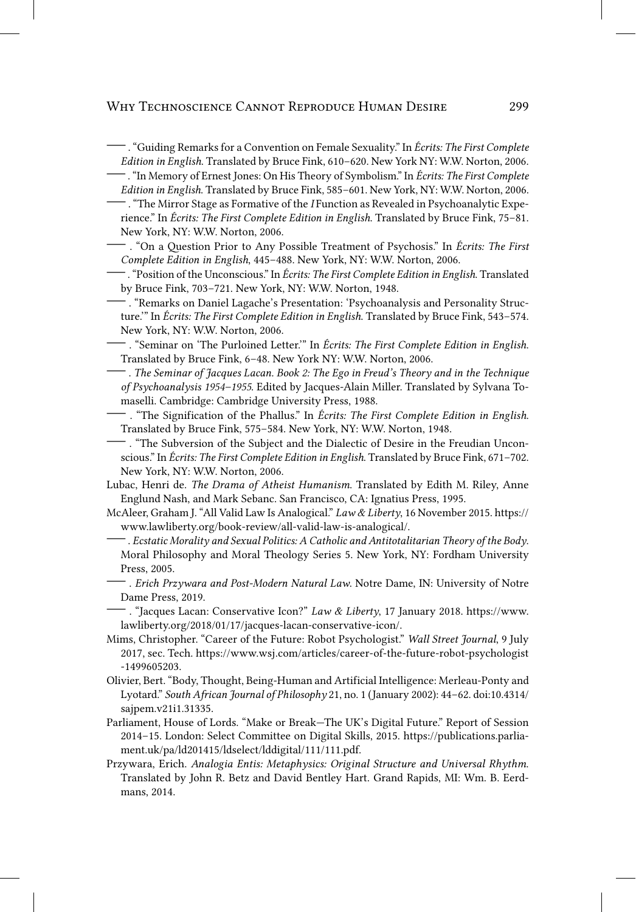Edition in English. Translated by Bruce Fink, 610-620. New York NY: W.W. Norton, 2006.

- fin Memory of Ernest Jones: On His Theory of Symbolism." In Écrits: The First Complete Edition in English. Translated by Bruce Fink, 585-601. New York, NY: W.W. Norton, 2006.

- . "The Mirror Stage as Formative of the *I* Function as Revealed in Psychoanalytic Experience." In Écrits: The First Complete Edition in English. Translated by Bruce Fink, 75-81. New York, NY: W.W. Norton, 2006.
- . "On a Question Prior to Any Possible Treatment of Psychosis." In *Écrits: The First* Complete Edition in English, 445-488. New York, NY: W.W. Norton, 2006.
- <sup>-</sup> . "Position of the Unconscious." In Écrits: The First Complete Edition in English. Translated by Bruce Fink, 703-721. New York, NY: W.W. Norton, 1948.
- . "Remarks on Daniel Lagache's Presentation: 'Psychoanalysis and Personality Structure." In Écrits: The First Complete Edition in English. Translated by Bruce Fink, 543-574. New York, NY: W.W. Norton, 2006.
- "Seminar on 'The Purloined Letter." In Écrits: The First Complete Edition in English. Translated by Bruce Fink, 6-48. New York NY: W.W. Norton, 2006.
- $-$  . The Seminar of Jacques Lacan. Book 2: The Ego in Freud's Theory and in the Technique of Psychoanalysis 1954-1955. Edited by Jacques-Alain Miller. Translated by Sylvana Tomaselli. Cambridge: Cambridge University Press, 1988.
- "The Signification of the Phallus." In Écrits: The First Complete Edition in English. Translated by Bruce Fink, 575-584. New York, NY: W.W. Norton, 1948.
- "The Subversion of the Subject and the Dialectic of Desire in the Freudian Unconscious." In Écrits: The First Complete Edition in English. Translated by Bruce Fink, 671-702. New York, NY: W.W. Norton, 2006.
- Lubac, Henri de. The Drama of Atheist Humanism. Translated by Edith M. Riley, Anne Englund Nash, and Mark Sebanc. San Francisco, CA: Ignatius Press, 1995.
- McAleer, Graham J. "All Valid Law Is Analogical." Law & Liberty, 16 November 2015. https:// www.lawliberty.org/book-review/all-valid-law-is-analogical/.
- $-$  . Ecstatic Morality and Sexual Politics: A Catholic and Antitotalitarian Theory of the Body. Moral Philosophy and Moral Theology Series 5. New York, NY: Fordham University Press, 2005.
- . Erich Przywara and Post-Modern Natural Law. Notre Dame, IN: University of Notre Dame Press, 2019.
- $-$ . "Jacques Lacan: Conservative Icon?" Law & Liberty, 17 January 2018. https://www. lawliberty.org/2018/01/17/jacques-lacan-conservative-icon/.
- Mims, Christopher. "Career of the Future: Robot Psychologist." Wall Street Journal, 9 July 2017, sec. Tech. https://www.wsj.com/articles/career-of-the-future-robot-psychologist -1499605203.
- Olivier, Bert. "Body, Thought, Being-Human and Artificial Intelligence: Merleau-Ponty and Lyotard." South African Journal of Philosophy 21, no. 1 (January 2002): 44-62. doi:10.4314/ sajpem.v21i1.31335.
- Parliament, House of Lords. "Make or Break-The UK's Digital Future." Report of Session 2014-15. London: Select Committee on Digital Skills, 2015. https://publications.parliament.uk/pa/ld201415/ldselect/lddigital/111/111.pdf.
- Przywara, Erich. Analogia Entis: Metaphysics: Original Structure and Universal Rhythm. Translated by John R. Betz and David Bentley Hart. Grand Rapids, MI: Wm. B. Eerdmans, 2014.